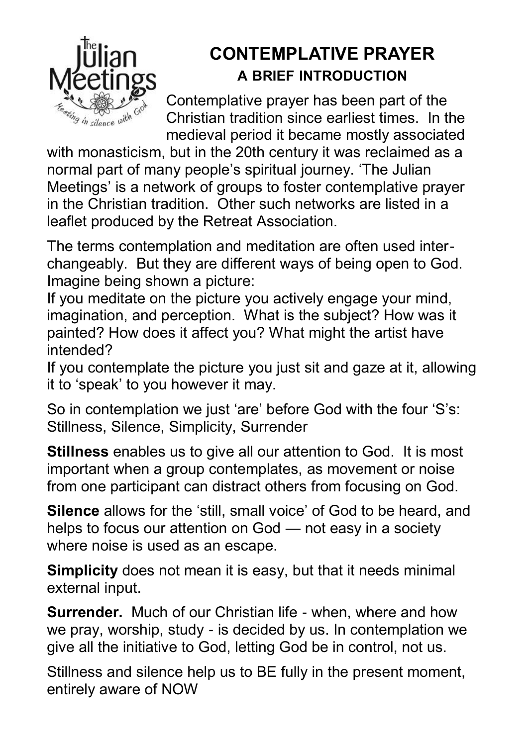

# **CONTEMPLATIVE PRAYER A BRIEF INTRODUCTION**

Contemplative prayer has been part of the Christian tradition since earliest times. In the medieval period it became mostly associated

with monasticism, but in the 20th century it was reclaimed as a normal part of many people's spiritual journey. 'The Julian Meetings' is a network of groups to foster contemplative prayer in the Christian tradition. Other such networks are listed in a leaflet produced by the Retreat Association.

The terms contemplation and meditation are often used interchangeably. But they are different ways of being open to God. Imagine being shown a picture:

If you meditate on the picture you actively engage your mind, imagination, and perception. What is the subject? How was it painted? How does it affect you? What might the artist have intended?

If you contemplate the picture you just sit and gaze at it, allowing it to 'speak' to you however it may.

So in contemplation we just 'are' before God with the four 'S's: Stillness, Silence, Simplicity, Surrender

**Stillness** enables us to give all our attention to God. It is most important when a group contemplates, as movement or noise from one participant can distract others from focusing on God.

**Silence** allows for the 'still, small voice' of God to be heard, and helps to focus our attention on God — not easy in a society where noise is used as an escape.

**Simplicity** does not mean it is easy, but that it needs minimal external input.

**Surrender.** Much of our Christian life - when, where and how we pray, worship, study - is decided by us. In contemplation we give all the initiative to God, letting God be in control, not us.

Stillness and silence help us to BE fully in the present moment, entirely aware of NOW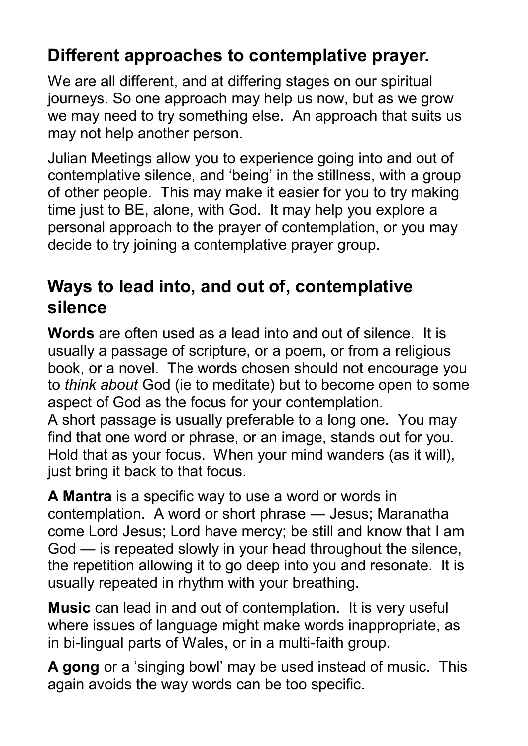## **Different approaches to contemplative prayer.**

We are all different, and at differing stages on our spiritual journeys. So one approach may help us now, but as we grow we may need to try something else. An approach that suits us may not help another person.

Julian Meetings allow you to experience going into and out of contemplative silence, and 'being' in the stillness, with a group of other people. This may make it easier for you to try making time just to BE, alone, with God. It may help you explore a personal approach to the prayer of contemplation, or you may decide to try joining a contemplative prayer group.

## **Ways to lead into, and out of, contemplative silence**

**Words** are often used as a lead into and out of silence. It is usually a passage of scripture, or a poem, or from a religious book, or a novel. The words chosen should not encourage you to *think about* God (ie to meditate) but to become open to some aspect of God as the focus for your contemplation. A short passage is usually preferable to a long one. You may find that one word or phrase, or an image, stands out for you. Hold that as your focus. When your mind wanders (as it will), just bring it back to that focus.

**A Mantra** is a specific way to use a word or words in contemplation. A word or short phrase — Jesus; Maranatha come Lord Jesus; Lord have mercy; be still and know that I am God — is repeated slowly in your head throughout the silence, the repetition allowing it to go deep into you and resonate. It is usually repeated in rhythm with your breathing.

**Music** can lead in and out of contemplation. It is very useful where issues of language might make words inappropriate, as in bi-lingual parts of Wales, or in a multi-faith group.

**A gong** or a 'singing bowl' may be used instead of music. This again avoids the way words can be too specific.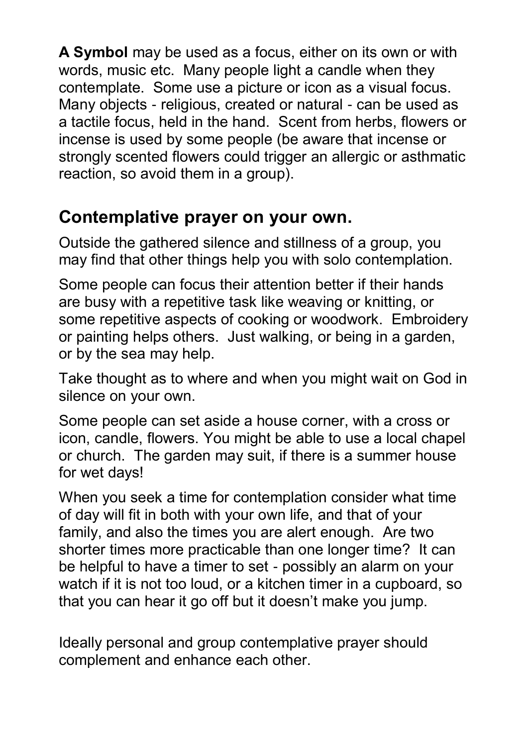**A Symbol** may be used as a focus, either on its own or with words, music etc. Many people light a candle when they contemplate. Some use a picture or icon as a visual focus. Many objects - religious, created or natural - can be used as a tactile focus, held in the hand. Scent from herbs, flowers or incense is used by some people (be aware that incense or strongly scented flowers could trigger an allergic or asthmatic reaction, so avoid them in a group).

#### **Contemplative prayer on your own.**

Outside the gathered silence and stillness of a group, you may find that other things help you with solo contemplation.

Some people can focus their attention better if their hands are busy with a repetitive task like weaving or knitting, or some repetitive aspects of cooking or woodwork. Embroidery or painting helps others. Just walking, or being in a garden, or by the sea may help.

Take thought as to where and when you might wait on God in silence on your own.

Some people can set aside a house corner, with a cross or icon, candle, flowers. You might be able to use a local chapel or church. The garden may suit, if there is a summer house for wet days!

When you seek a time for contemplation consider what time of day will fit in both with your own life, and that of your family, and also the times you are alert enough. Are two shorter times more practicable than one longer time? It can be helpful to have a timer to set - possibly an alarm on your watch if it is not too loud, or a kitchen timer in a cupboard, so that you can hear it go off but it doesn't make you jump.

Ideally personal and group contemplative prayer should complement and enhance each other.